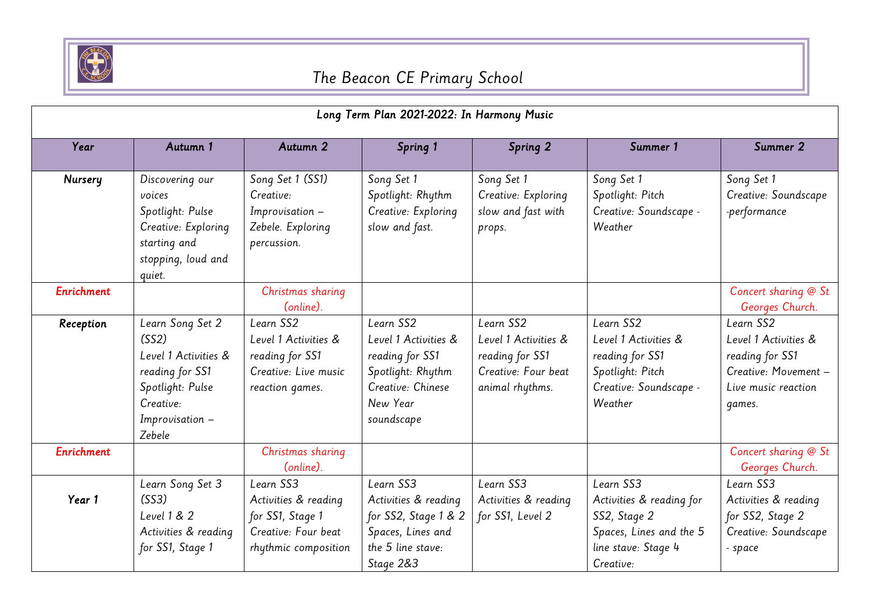

| Long Term Plan 2021-2022: In Harmony Music |                                                                                                                                    |                                                                                                      |                                                                                                                          |                                                                                                |                                                                                                                      |                                                                                                               |
|--------------------------------------------|------------------------------------------------------------------------------------------------------------------------------------|------------------------------------------------------------------------------------------------------|--------------------------------------------------------------------------------------------------------------------------|------------------------------------------------------------------------------------------------|----------------------------------------------------------------------------------------------------------------------|---------------------------------------------------------------------------------------------------------------|
| Year                                       | Autumn 1                                                                                                                           | Autumn 2                                                                                             | Spring 1                                                                                                                 | Spring 2                                                                                       | Summer 1                                                                                                             | Summer 2                                                                                                      |
| Nursery                                    | Discovering our<br>voices<br>Spotlight: Pulse<br>Creative: Exploring<br>starting and<br>stopping, loud and<br>quiet.               | Song Set 1 (SS1)<br>Creative:<br>Improvisation -<br>Zebele. Exploring<br>percussion.                 | Song Set 1<br>Spotlight: Rhythm<br>Creative: Exploring<br>slow and fast.                                                 | Song Set 1<br>Creative: Exploring<br>slow and fast with<br>props.                              | Song Set 1<br>Spotlight: Pitch<br>Creative: Soundscape -<br>Weather                                                  | Song Set 1<br>Creative: Soundscape<br>-performance                                                            |
| Enrichment                                 |                                                                                                                                    | Christmas sharing<br>(online).                                                                       |                                                                                                                          |                                                                                                |                                                                                                                      | Concert sharing @ St<br>Georges Church.                                                                       |
| Reception                                  | Learn Song Set 2<br>(SS2)<br>Level 1 Activities &<br>reading for SS1<br>Spotlight: Pulse<br>Creative:<br>Improvisation -<br>Zebele | Learn SS2<br>Level 1 Activities &<br>reading for SS1<br>Creative: Live music<br>reaction games.      | Learn SS2<br>Level 1 Activities &<br>reading for SS1<br>Spotlight: Rhythm<br>Creative: Chinese<br>New Year<br>soundscape | Learn SS2<br>Level 1 Activities &<br>reading for SS1<br>Creative: Four beat<br>animal rhythms. | Learn SS2<br>Level 1 Activities &<br>reading for SS1<br>Spotlight: Pitch<br>Creative: Soundscape -<br>Weather        | Learn SS2<br>Level 1 Activities &<br>reading for SS1<br>Creative: Movement -<br>Live music reaction<br>qames. |
| <b>Enrichment</b>                          |                                                                                                                                    | Christmas sharing<br>(online).                                                                       |                                                                                                                          |                                                                                                |                                                                                                                      | Concert sharing @ St<br>Georges Church.                                                                       |
| Year 1                                     | Learn Song Set 3<br>(SS3)<br>Level 1 & 2<br>Activities & reading<br>for SS1, Stage 1                                               | Learn SS3<br>Activities & reading<br>for SS1, Stage 1<br>Creative: Four beat<br>rhythmic composition | Learn SS3<br>Activities & reading<br>for SS2, Stage 1 & 2<br>Spaces, Lines and<br>the 5 line stave:<br>Stage 2&3         | Learn SS3<br>Activities & reading<br>for SS1, Level 2                                          | Learn SS3<br>Activities & reading for<br>SS2, Stage 2<br>Spaces, Lines and the 5<br>line stave: Stage 4<br>Creative: | Learn SS3<br>Activities & reading<br>for SS2, Stage 2<br>Creative: Soundscape<br>- space                      |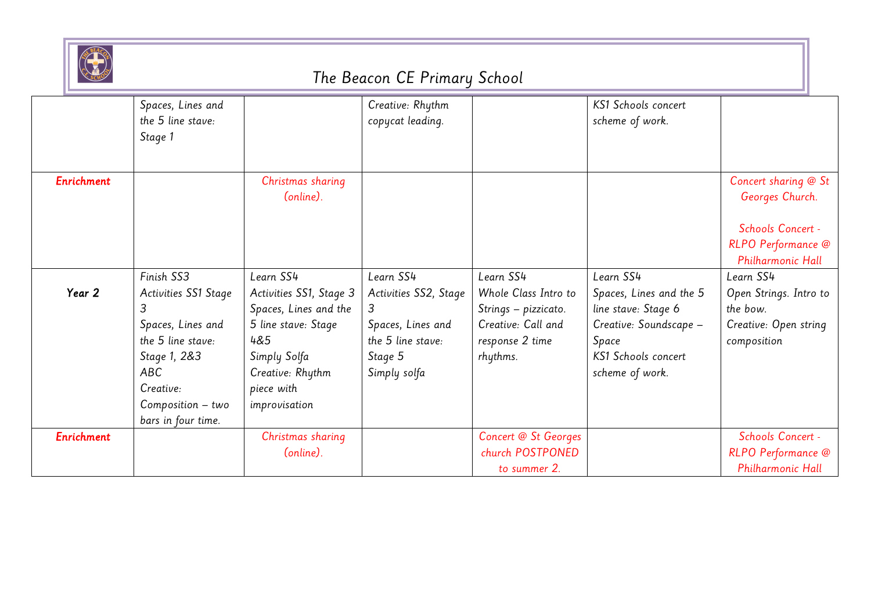

|                   | Spaces, Lines and<br>the 5 line stave:<br>Stage 1                                                                                                                         |                                                                                                                                                                | Creative: Rhythm<br>copycat leading.                                                                         |                                                                                                                | KS1 Schools concert<br>scheme of work.                                                                                                   |                                                                                                         |
|-------------------|---------------------------------------------------------------------------------------------------------------------------------------------------------------------------|----------------------------------------------------------------------------------------------------------------------------------------------------------------|--------------------------------------------------------------------------------------------------------------|----------------------------------------------------------------------------------------------------------------|------------------------------------------------------------------------------------------------------------------------------------------|---------------------------------------------------------------------------------------------------------|
| <b>Enrichment</b> |                                                                                                                                                                           | Christmas sharing<br>(online).                                                                                                                                 |                                                                                                              |                                                                                                                |                                                                                                                                          | Concert sharing @ St<br>Georges Church.<br>Schools Concert -<br>RLPO Performance @<br>Philharmonic Hall |
| Year 2            | Finish SS3<br>Activities SS1 Stage<br>3<br>Spaces, Lines and<br>the 5 line stave:<br>Stage 1, 2&3<br><b>ABC</b><br>Creative:<br>$Composition - two$<br>bars in four time. | Learn SS4<br>Activities SS1, Stage 3<br>Spaces, Lines and the<br>5 line stave: Stage<br>4&5<br>Simply Solfa<br>Creative: Rhythm<br>piece with<br>improvisation | Learn SS4<br>Activities SS2, Stage<br>3<br>Spaces, Lines and<br>the 5 line stave:<br>Stage 5<br>Simply solfa | Learn SS4<br>Whole Class Intro to<br>Strings - pizzicato.<br>Creative: Call and<br>response 2 time<br>rhythms. | Learn SS4<br>Spaces, Lines and the 5<br>line stave: Stage 6<br>Creative: Soundscape -<br>Space<br>KS1 Schools concert<br>scheme of work. | Learn SS4<br>Open Strings. Intro to<br>the bow.<br>Creative: Open string<br>composition                 |
| Enrichment        |                                                                                                                                                                           | Christmas sharing<br>(online).                                                                                                                                 |                                                                                                              | Concert @ St Georges<br>church POSTPONED<br>to summer 2.                                                       |                                                                                                                                          | Schools Concert -<br>RLPO Performance @<br>Philharmonic Hall                                            |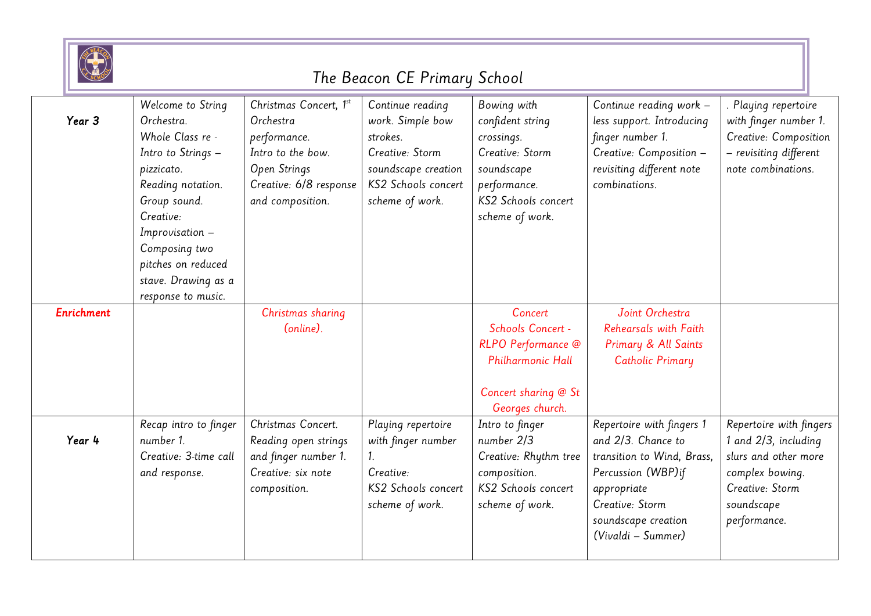

|            | Welcome to String     | Christmas Concert, 1st | Continue reading    | Bowing with           | Continue reading work -    | Playing repertoire      |
|------------|-----------------------|------------------------|---------------------|-----------------------|----------------------------|-------------------------|
| Year 3     | Orchestra.            | Orchestra              | work. Simple bow    | confident string      | less support. Introducing  | with finger number 1.   |
|            | Whole Class re -      | performance.           | strokes.            | crossings.            | finger number 1.           | Creative: Composition   |
|            | Intro to Strings -    | Intro to the bow.      | Creative: Storm     | Creative: Storm       | Creative: Composition -    | - revisiting different  |
|            | pizzicato.            | Open Strings           | soundscape creation | soundscape            | revisiting different note  | note combinations.      |
|            | Reading notation.     | Creative: 6/8 response | KS2 Schools concert | performance.          | combinations.              |                         |
|            | Group sound.          | and composition.       | scheme of work.     | KS2 Schools concert   |                            |                         |
|            | Creative:             |                        |                     | scheme of work.       |                            |                         |
|            | Improvisation -       |                        |                     |                       |                            |                         |
|            | Composing two         |                        |                     |                       |                            |                         |
|            | pitches on reduced    |                        |                     |                       |                            |                         |
|            | stave. Drawing as a   |                        |                     |                       |                            |                         |
|            | response to music.    |                        |                     |                       |                            |                         |
| Enrichment |                       | Christmas sharing      |                     | Concert               | Joint Orchestra            |                         |
|            |                       | (online).              |                     | Schools Concert -     | Rehearsals with Faith      |                         |
|            |                       |                        |                     | RLPO Performance @    | Primary & All Saints       |                         |
|            |                       |                        |                     | Philharmonic Hall     | Catholic Primary           |                         |
|            |                       |                        |                     |                       |                            |                         |
|            |                       |                        |                     | Concert sharing @ St  |                            |                         |
|            |                       |                        |                     | Georges church.       |                            |                         |
|            | Recap intro to finger | Christmas Concert.     | Playing repertoire  | Intro to finger       | Repertoire with fingers 1  | Repertoire with fingers |
| Year 4     | number 1.             | Reading open strings   | with finger number  | number 2/3            | and 2/3. Chance to         | 1 and 2/3, including    |
|            | Creative: 3-time call | and finger number 1.   |                     | Creative: Rhythm tree | transition to Wind, Brass, | slurs and other more    |
|            | and response.         | Creative: six note     | Creative:           | composition.          | Percussion (WBP) if        | complex bowing.         |
|            |                       | composition.           | KS2 Schools concert | KS2 Schools concert   | appropriate                | Creative: Storm         |
|            |                       |                        | scheme of work.     | scheme of work.       | Creative: Storm            | soundscape              |
|            |                       |                        |                     |                       | soundscape creation        | performance.            |
|            |                       |                        |                     |                       | (Vivaldi - Summer)         |                         |
|            |                       |                        |                     |                       |                            |                         |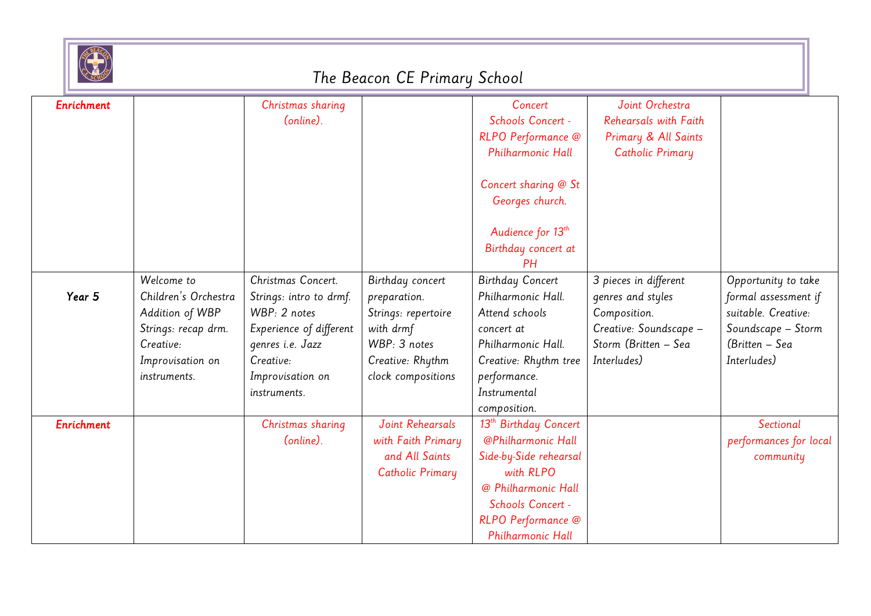

| Enrichment        |                      |                         |                     | Concert                           | Joint Orchestra         |                        |
|-------------------|----------------------|-------------------------|---------------------|-----------------------------------|-------------------------|------------------------|
|                   |                      | Christmas sharing       |                     |                                   |                         |                        |
|                   |                      | (online).               |                     | Schools Concert -                 | Rehearsals with Faith   |                        |
|                   |                      |                         |                     | RLPO Performance @                | Primary & All Saints    |                        |
|                   |                      |                         |                     | Philharmonic Hall                 | <b>Catholic Primary</b> |                        |
|                   |                      |                         |                     |                                   |                         |                        |
|                   |                      |                         |                     | Concert sharing @ St              |                         |                        |
|                   |                      |                         |                     | Georges church.                   |                         |                        |
|                   |                      |                         |                     |                                   |                         |                        |
|                   |                      |                         |                     | Audience for 13 <sup>th</sup>     |                         |                        |
|                   |                      |                         |                     | Birthday concert at               |                         |                        |
|                   |                      |                         |                     | PH                                |                         |                        |
|                   | Welcome to           | Christmas Concert.      | Birthday concert    | <b>Birthday Concert</b>           | 3 pieces in different   | Opportunity to take    |
| Year 5            | Children's Orchestra | Strings: intro to drmf. | preparation.        | Philharmonic Hall.                | genres and styles       | formal assessment if   |
|                   | Addition of WBP      | WBP: 2 notes            | Strings: repertoire | Attend schools                    | Composition.            | suitable. Creative:    |
|                   | Strings: recap drm.  | Experience of different | with drmf           | concert at                        | Creative: Soundscape -  | Soundscape - Storm     |
|                   | Creative:            | genres i.e. Jazz        | WBP: 3 notes        | Philharmonic Hall.                | Storm (Britten - Sea    | (Britten - Sea         |
|                   | Improvisation on     | Creative:               | Creative: Rhythm    | Creative: Rhythm tree             | Interludes)             | Interludes)            |
|                   | instruments.         | Improvisation on        | clock compositions  | performance.                      |                         |                        |
|                   |                      | instruments.            |                     | Instrumental                      |                         |                        |
|                   |                      |                         |                     | composition.                      |                         |                        |
| <b>Enrichment</b> |                      | Christmas sharing       | Joint Rehearsals    | 13 <sup>th</sup> Birthday Concert |                         | Sectional              |
|                   |                      | (online).               | with Faith Primary  | @Philharmonic Hall                |                         | performances for local |
|                   |                      |                         | and All Saints      | Side-by-Side rehearsal            |                         | community              |
|                   |                      |                         | Catholic Primary    | with RLPO                         |                         |                        |
|                   |                      |                         |                     | @ Philharmonic Hall               |                         |                        |
|                   |                      |                         |                     | Schools Concert -                 |                         |                        |
|                   |                      |                         |                     | RLPO Performance @                |                         |                        |
|                   |                      |                         |                     | Philharmonic Hall                 |                         |                        |